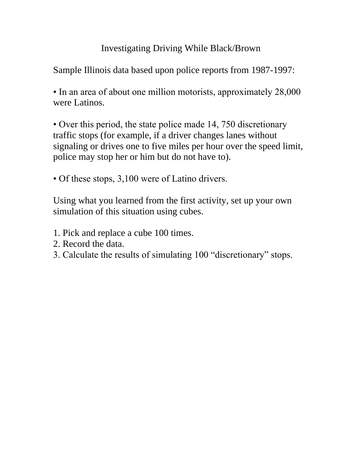## Investigating Driving While Black/Brown

Sample Illinois data based upon police reports from 1987-1997:

• In an area of about one million motorists, approximately 28,000 were Latinos.

• Over this period, the state police made 14, 750 discretionary traffic stops (for example, if a driver changes lanes without signaling or drives one to five miles per hour over the speed limit, police may stop her or him but do not have to).

• Of these stops, 3,100 were of Latino drivers.

Using what you learned from the first activity, set up your own simulation of this situation using cubes.

- 1. Pick and replace a cube 100 times.
- 2. Record the data.
- 3. Calculate the results of simulating 100 "discretionary" stops.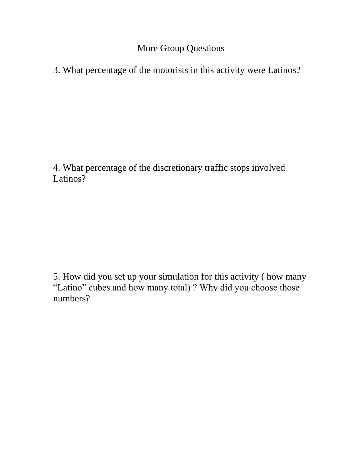More Group Questions

3. What percentage of the motorists in this activity were Latinos?

4. What percentage of the discretionary traffic stops involved Latinos?

5. How did you set up your simulation for this activity ( how many "Latino" cubes and how many total) ? Why did you choose those numbers?